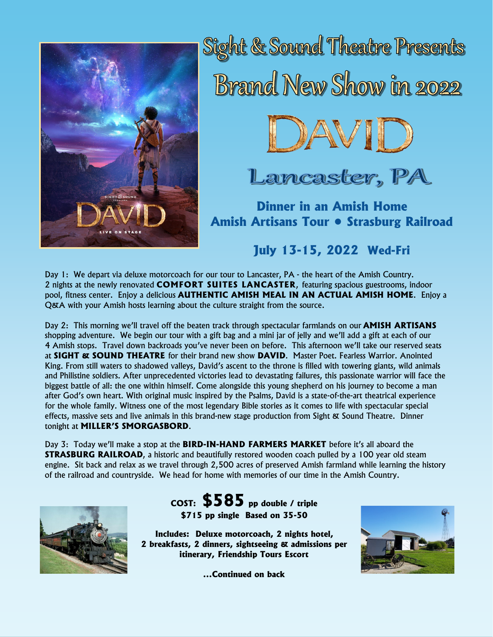

Sight & Sound Theatre Presents **Brand New Show in 2022** 



Lancaster, PA

**Dinner in an Amish Home Amish Artisans Tour • Strasburg Railroad**

**July 13-15, 2022 Wed-Fri**

Day 1: We depart via deluxe motorcoach for our tour to Lancaster, PA - the heart of the Amish Country. 2 nights at the newly renovated **COMFORT SUITES LANCASTER**, featuring spacious guestrooms, indoor pool, fitness center. Enjoy a delicious **AUTHENTIC AMISH MEAL IN AN ACTUAL AMISH HOME**. Enjoy a Q&A with your Amish hosts learning about the culture straight from the source.

Day 2: This morning we'll travel off the beaten track through spectacular farmlands on our **AMISH ARTISANS**  shopping adventure. We begin our tour with a gift bag and a mini jar of jelly and we'll add a gift at each of our 4 Amish stops. Travel down backroads you've never been on before. This afternoon we'll take our reserved seats at **SIGHT & SOUND THEATRE** for their brand new show **DAVID**. Master Poet. Fearless Warrior. Anointed King. From still waters to shadowed valleys, David's ascent to the throne is filled with towering giants, wild animals and Philistine soldiers. After unprecedented victories lead to devastating failures, this passionate warrior will face the biggest battle of all: the one within himself. Come alongside this young shepherd on his journey to become a man after God's own heart. With original music inspired by the Psalms, David is a state-of-the-art theatrical experience for the whole family. Witness one of the most legendary Bible stories as it comes to life with spectacular special effects, massive sets and live animals in this brand-new stage production from Sight & Sound Theatre. Dinner tonight at **MILLER'S SMORGASBORD**.

Day 3: Today we'll make a stop at the **BIRD-IN-HAND FARMERS MARKET** before it's all aboard the **STRASBURG RAILROAD**, a historic and beautifully restored wooden coach pulled by a 100 year old steam engine. Sit back and relax as we travel through 2,500 acres of preserved Amish farmland while learning the history of the railroad and countryside. We head for home with memories of our time in the Amish Country.



**COST: \$585 pp double / triple \$715 pp single Based on 35-50**

**Includes: Deluxe motorcoach, 2 nights hotel, 2 breakfasts, 2 dinners, sightseeing & admissions per itinerary, Friendship Tours Escort**



**...Continued on back**